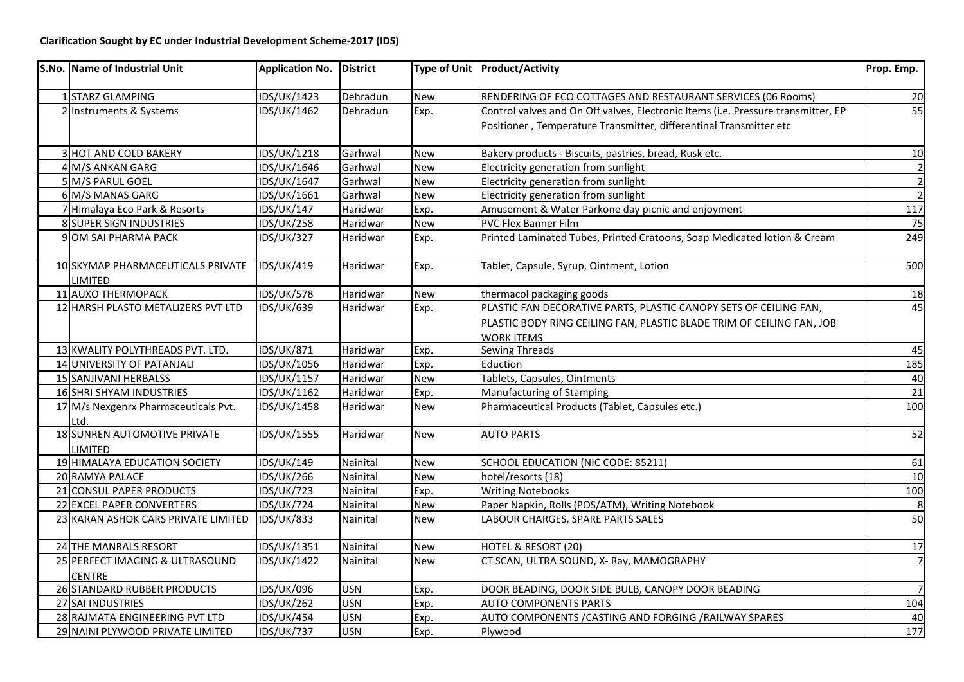| S.No. Name of Industrial Unit                    | Application No. District |            |            | Type of Unit Product/Activity                                                                                                                                   | Prop. Emp.     |
|--------------------------------------------------|--------------------------|------------|------------|-----------------------------------------------------------------------------------------------------------------------------------------------------------------|----------------|
| 1 STARZ GLAMPING                                 | IDS/UK/1423              | Dehradun   | New        | RENDERING OF ECO COTTAGES AND RESTAURANT SERVICES (06 Rooms)                                                                                                    | 20             |
| 2 Instruments & Systems                          | IDS/UK/1462              | Dehradun   | Exp.       | Control valves and On Off valves, Electronic Items (i.e. Pressure transmitter, EP<br>Positioner, Temperature Transmitter, differentinal Transmitter etc         | 55             |
| <b>3 HOT AND COLD BAKERY</b>                     | IDS/UK/1218              | Garhwal    | <b>New</b> | Bakery products - Biscuits, pastries, bread, Rusk etc.                                                                                                          | 10             |
| 4 M/S ANKAN GARG                                 | IDS/UK/1646              | Garhwal    | <b>New</b> | Electricity generation from sunlight                                                                                                                            | 2              |
| 5 M/S PARUL GOEL                                 | IDS/UK/1647              | Garhwal    | <b>New</b> | Electricity generation from sunlight                                                                                                                            | $\overline{2}$ |
| 6 M/S MANAS GARG                                 | IDS/UK/1661              | Garhwal    | <b>New</b> | Electricity generation from sunlight                                                                                                                            | $\overline{2}$ |
| 7 Himalaya Eco Park & Resorts                    | <b>IDS/UK/147</b>        | Haridwar   | Exp.       | Amusement & Water Parkone day picnic and enjoyment                                                                                                              | 117            |
| 8 SUPER SIGN INDUSTRIES                          | <b>IDS/UK/258</b>        | Haridwar   | <b>New</b> | PVC Flex Banner Film                                                                                                                                            | 75             |
| 9 OM SAI PHARMA PACK                             | <b>IDS/UK/327</b>        | Haridwar   | Exp.       | Printed Laminated Tubes, Printed Cratoons, Soap Medicated lotion & Cream                                                                                        | 249            |
| 10 SKYMAP PHARMACEUTICALS PRIVATE<br>LIMITED     | <b>IDS/UK/419</b>        | Haridwar   | Exp.       | Tablet, Capsule, Syrup, Ointment, Lotion                                                                                                                        | 500            |
| 11 AUXO THERMOPACK                               | <b>IDS/UK/578</b>        | Haridwar   | <b>New</b> | thermacol packaging goods                                                                                                                                       | 18             |
| 12 HARSH PLASTO METALIZERS PVT LTD               | <b>IDS/UK/639</b>        | Haridwar   | Exp.       | PLASTIC FAN DECORATIVE PARTS, PLASTIC CANOPY SETS OF CEILING FAN,<br>PLASTIC BODY RING CEILING FAN, PLASTIC BLADE TRIM OF CEILING FAN, JOB<br><b>WORK ITEMS</b> | 45             |
| 13 KWALITY POLYTHREADS PVT. LTD.                 | IDS/UK/871               | Haridwar   | Exp.       | <b>Sewing Threads</b>                                                                                                                                           | 45             |
| 14 UNIVERSITY OF PATANJALI                       | IDS/UK/1056              | Haridwar   | Exp.       | Eduction                                                                                                                                                        | 185            |
| 15 SANJIVANI HERBALSS                            | IDS/UK/1157              | Haridwar   | <b>New</b> | Tablets, Capsules, Ointments                                                                                                                                    | 40             |
| 16 SHRI SHYAM INDUSTRIES                         | IDS/UK/1162              | Haridwar   | Exp.       | Manufacturing of Stamping                                                                                                                                       | 21             |
| 17 M/s Nexgenrx Pharmaceuticals Pvt.<br>Ltd.     | IDS/UK/1458              | Haridwar   | <b>New</b> | Pharmaceutical Products (Tablet, Capsules etc.)                                                                                                                 | 100            |
| 18 SUNREN AUTOMOTIVE PRIVATE<br><b>LIMITED</b>   | IDS/UK/1555              | Haridwar   | <b>New</b> | <b>AUTO PARTS</b>                                                                                                                                               | 52             |
| 19 HIMALAYA EDUCATION SOCIETY                    | <b>IDS/UK/149</b>        | Nainital   | <b>New</b> | SCHOOL EDUCATION (NIC CODE: 85211)                                                                                                                              | 61             |
| 20 RAMYA PALACE                                  | <b>IDS/UK/266</b>        | Nainital   | <b>New</b> | hotel/resorts (18)                                                                                                                                              | 10             |
| 21 CONSUL PAPER PRODUCTS                         | <b>IDS/UK/723</b>        | Nainital   | Exp.       | <b>Writing Notebooks</b>                                                                                                                                        | 100            |
| 22 EXCEL PAPER CONVERTERS                        | <b>IDS/UK/724</b>        | Nainital   | <b>New</b> | Paper Napkin, Rolls (POS/ATM), Writing Notebook                                                                                                                 | 8              |
| 23 KARAN ASHOK CARS PRIVATE LIMITED              | <b>IDS/UK/833</b>        | Nainital   | <b>New</b> | LABOUR CHARGES, SPARE PARTS SALES                                                                                                                               | 50             |
| 24 THE MANRALS RESORT                            | IDS/UK/1351              | Nainital   | <b>New</b> | HOTEL & RESORT (20)                                                                                                                                             | 17             |
| 25 PERFECT IMAGING & ULTRASOUND<br><b>CENTRE</b> | IDS/UK/1422              | Nainital   | <b>New</b> | CT SCAN, ULTRA SOUND, X- Ray, MAMOGRAPHY                                                                                                                        | 7 <sup>1</sup> |
| 26 STANDARD RUBBER PRODUCTS                      | <b>IDS/UK/096</b>        | <b>USN</b> | Exp.       | DOOR BEADING, DOOR SIDE BULB, CANOPY DOOR BEADING                                                                                                               | 7              |
| 27 SAI INDUSTRIES                                | <b>IDS/UK/262</b>        | <b>USN</b> | Exp.       | <b>AUTO COMPONENTS PARTS</b>                                                                                                                                    | 104            |
| 28 RAJMATA ENGINEERING PVT LTD                   | <b>IDS/UK/454</b>        | <b>USN</b> | Exp.       | AUTO COMPONENTS / CASTING AND FORGING / RAILWAY SPARES                                                                                                          | 40             |
| 29 NAINI PLYWOOD PRIVATE LIMITED                 | <b>IDS/UK/737</b>        | <b>USN</b> | Exp.       | Plywood                                                                                                                                                         | 177            |